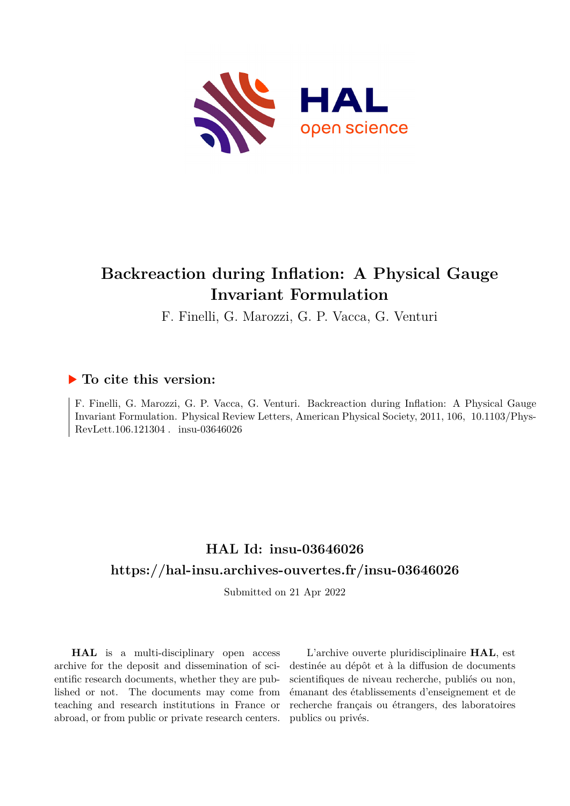

## **Backreaction during Inflation: A Physical Gauge Invariant Formulation**

F. Finelli, G. Marozzi, G. P. Vacca, G. Venturi

## **To cite this version:**

F. Finelli, G. Marozzi, G. P. Vacca, G. Venturi. Backreaction during Inflation: A Physical Gauge Invariant Formulation. Physical Review Letters, American Physical Society, 2011, 106, 10.1103/Phys-RevLett.106.121304 . insu-03646026

## **HAL Id: insu-03646026 <https://hal-insu.archives-ouvertes.fr/insu-03646026>**

Submitted on 21 Apr 2022

**HAL** is a multi-disciplinary open access archive for the deposit and dissemination of scientific research documents, whether they are published or not. The documents may come from teaching and research institutions in France or abroad, or from public or private research centers.

L'archive ouverte pluridisciplinaire **HAL**, est destinée au dépôt et à la diffusion de documents scientifiques de niveau recherche, publiés ou non, émanant des établissements d'enseignement et de recherche français ou étrangers, des laboratoires publics ou privés.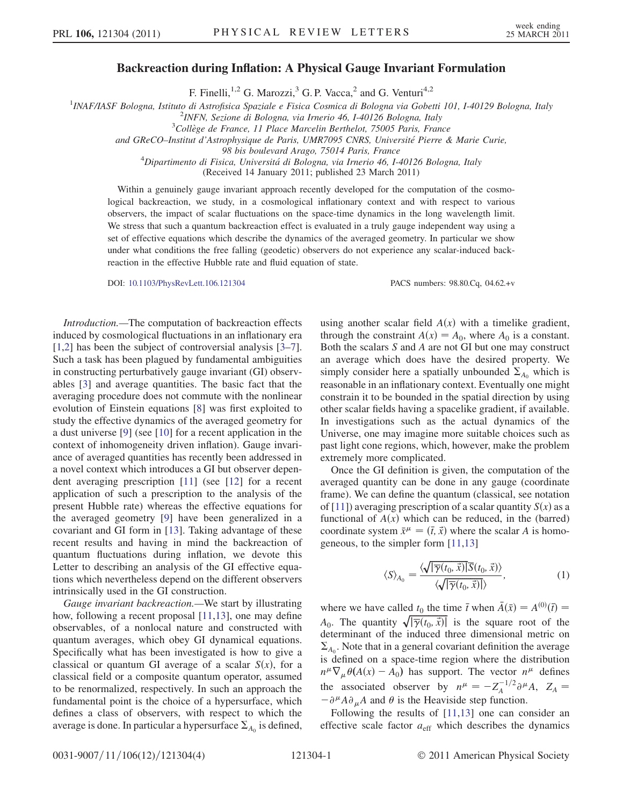## Backreaction during Inflation: A Physical Gauge Invariant Formulation

F. Finelli,<sup>1,2</sup> G. Marozzi,<sup>3</sup> G. P. Vacca,<sup>2</sup> and G. Venturi<sup>4,2</sup>

<sup>1</sup>INAF/IASF Bologna, Istituto di Astrofisica Spaziale e Fisica Cosmica di Bologna via Gobetti 101, I-40129 Bologna, Italy<br><sup>2</sup>INEN Sezione di Bologna, via Irnerio 46, I 40126 Bologna, Italy

 $2$ INFN, Sezione di Bologna, via Irnerio 46, I-40126 Bologna, Italy

 $3$ Collège de France, 11 Place Marcelin Berthelot, 75005 Paris, France

and GReCO-Institut d'Astrophysique de Paris, UMR7095 CNRS, Université Pierre & Marie Curie,

98 bis boulevard Arago, 75014 Paris, France <sup>4</sup> Dipartimento di Fisica, Universita´ di Bologna, via Irnerio 46, I-40126 Bologna, Italy

(Received 14 January 2011; published 23 March 2011)

Within a genuinely gauge invariant approach recently developed for the computation of the cosmological backreaction, we study, in a cosmological inflationary context and with respect to various observers, the impact of scalar fluctuations on the space-time dynamics in the long wavelength limit. We stress that such a quantum backreaction effect is evaluated in a truly gauge independent way using a set of effective equations which describe the dynamics of the averaged geometry. In particular we show under what conditions the free falling (geodetic) observers do not experience any scalar-induced backreaction in the effective Hubble rate and fluid equation of state.

DOI: [10.1103/PhysRevLett.106.121304](http://dx.doi.org/10.1103/PhysRevLett.106.121304) PACS numbers: 98.80.Cq, 04.62.+v

Introduction.—The computation of backreaction effects induced by cosmological fluctuations in an inflationary era [1,2] has been the subject of controversial analysis [3–7]. Such a task has been plagued by fundamental ambiguities in constructing perturbatively gauge invariant (GI) observables [3] and average quantities. The basic fact that the averaging procedure does not commute with the nonlinear evolution of Einstein equations [8] was first exploited to study the effective dynamics of the averaged geometry for a dust universe [9] (see [10] for a recent application in the context of inhomogeneity driven inflation). Gauge invariance of averaged quantities has recently been addressed in a novel context which introduces a GI but observer dependent averaging prescription [11] (see [12] for a recent application of such a prescription to the analysis of the present Hubble rate) whereas the effective equations for the averaged geometry [9] have been generalized in a covariant and GI form in [13]. Taking advantage of these recent results and having in mind the backreaction of quantum fluctuations during inflation, we devote this Letter to describing an analysis of the GI effective equations which nevertheless depend on the different observers intrinsically used in the GI construction.

Gauge invariant backreaction.—We start by illustrating how, following a recent proposal [11,13], one may define observables, of a nonlocal nature and constructed with quantum averages, which obey GI dynamical equations. Specifically what has been investigated is how to give a classical or quantum GI average of a scalar  $S(x)$ , for a classical field or a composite quantum operator, assumed to be renormalized, respectively. In such an approach the fundamental point is the choice of a hypersurface, which defines a class of observers, with respect to which the average is done. In particular a hypersurface  $\Sigma_{A_0}$  is defined, using another scalar field  $A(x)$  with a timelike gradient, through the constraint  $A(x) = A_0$ , where  $A_0$  is a constant. Both the scalars S and A are not GI but one may construct an average which does have the desired property. We simply consider here a spatially unbounded  $\Sigma_{A_0}$  which is reasonable in an inflationary context. Eventually one might constrain it to be bounded in the spatial direction by using other scalar fields having a spacelike gradient, if available. In investigations such as the actual dynamics of the Universe, one may imagine more suitable choices such as past light cone regions, which, however, make the problem extremely more complicated.

Once the GI definition is given, the computation of the averaged quantity can be done in any gauge (coordinate frame). We can define the quantum (classical, see notation of [11]) averaging prescription of a scalar quantity  $S(x)$  as a functional of  $A(x)$  which can be reduced, in the (barred) coordinate system  $\bar{x}^{\mu} = (\bar{t}, \bar{x})$  where the scalar A is homogeneous, to the simpler form [11,13]

$$
\langle S \rangle_{A_0} = \frac{\langle \sqrt{|\overline{\gamma}(t_0, \vec{x})|} \overline{S}(t_0, \vec{x}) \rangle}{\langle \sqrt{|\overline{\gamma}(t_0, \vec{x})|} \rangle},\tag{1}
$$

where we have called  $t_0$  the time  $\bar{t}$  when  $\bar{A}(\bar{x}) = A^{(0)}(\bar{t}) =$  $A_0$ . The quantity  $\sqrt{|\overline{\gamma}(t_0, \vec{x})|}$  is the square root of the determinant of the induced three dimensional metric on  $\Sigma_{A_0}$ . Note that in a general covariant definition the average is defined on a space-time region where the distribution  $n^{\mu} \nabla_{\mu} \theta(A(x) - A_0)$  has support. The vector  $n^{\mu}$  defines the associated observer by  $n^{\mu} = -Z_A^{-1/2} \partial^{\mu} A$ ,  $Z_A =$  $-\partial^{\mu} A \partial_{\mu} A$  and  $\theta$  is the Heaviside step function.

Following the results of [11,13] one can consider an effective scale factor  $a_{\text{eff}}$  which describes the dynamics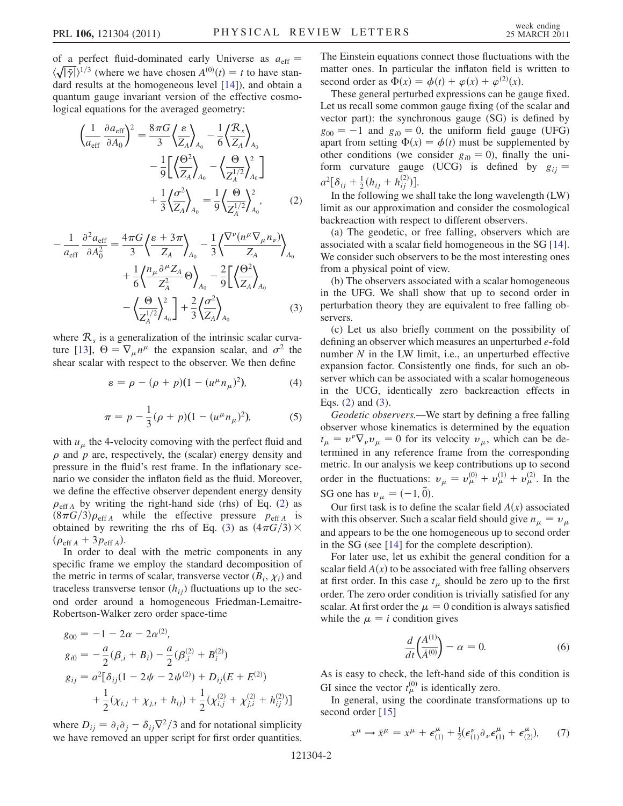of a perfect fluid-dominated early Universe as  $a_{\text{eff}} =$  $\langle \sqrt{|\overline{\gamma}|} \rangle^{1/3}$  (where we have chosen  $A^{(0)}(t) = t$  to have standard results at the homogeneous level [14]), and obtain a quantum gauge invariant version of the effective cosmological equations for the averaged geometry:

$$
\left(\frac{1}{a_{\text{eff}}}\frac{\partial a_{\text{eff}}}{\partial A_0}\right)^2 = \frac{8\pi G}{3} \left\langle \frac{\varepsilon}{Z_A} \right\rangle_{A_0} - \frac{1}{6} \left\langle \frac{\mathcal{R}_s}{Z_A} \right\rangle_{A_0} \n- \frac{1}{9} \left[ \left\langle \frac{\Theta^2}{Z_A} \right\rangle_{A_0} - \left\langle \frac{\Theta}{Z_A^{1/2}} \right\rangle_{A_0}^2 \right] \n+ \frac{1}{3} \left\langle \frac{\sigma^2}{Z_A} \right\rangle_{A_0} = \frac{1}{9} \left\langle \frac{\Theta}{Z_A^{1/2}} \right\rangle_{A_0}^2, \tag{2}
$$

$$
-\frac{1}{a_{\text{eff}}}\frac{\partial^2 a_{\text{eff}}}{\partial A_0^2} = \frac{4\pi G}{3} \left\langle \frac{\varepsilon + 3\pi}{Z_A} \right\rangle_{A_0} - \frac{1}{3} \left\langle \frac{\nabla^{\nu} (n^{\mu} \nabla_{\mu} n_{\nu})}{Z_A} \right\rangle_{A_0} + \frac{1}{6} \left\langle \frac{n_{\mu} \partial^{\mu} Z_A}{Z_A^2} \Theta \right\rangle_{A_0} - \frac{2}{9} \left[ \left\langle \frac{\Theta^2}{Z_A} \right\rangle_{A_0} - \left\langle \frac{\Theta}{Z_A^{1/2}} \right\rangle_{A_0}^2 \right] + \frac{2}{3} \left\langle \frac{\sigma^2}{Z_A} \right\rangle_{A_0}
$$
(3)

where  $\mathcal{R}_s$  is a generalization of the intrinsic scalar curvature [13],  $\Theta = \nabla_{\mu} n^{\mu}$  the expansion scalar, and  $\sigma^2$  the shear scalar with respect to the observer. We then define

$$
\varepsilon = \rho - (\rho + p)(1 - (u^{\mu}n_{\mu})^2), \tag{4}
$$

$$
\pi = p - \frac{1}{3}(\rho + p)(1 - (u^{\mu}n_{\mu})^2),
$$
 (5)

with  $u_{\mu}$  the 4-velocity comoving with the perfect fluid and  $\rho$  and  $p$  are, respectively, the (scalar) energy density and pressure in the fluid's rest frame. In the inflationary scenario we consider the inflaton field as the fluid. Moreover, we define the effective observer dependent energy density  $\rho_{\text{eff A}}$  by writing the right-hand side (rhs) of Eq. (2) as  $(8\pi G/3)\rho_{\text{eff A}}$  while the effective pressure  $p_{\text{eff A}}$  is obtained by rewriting the rhs of Eq. (3) as  $(4\pi G/3) \times$  $(\rho_{\text{eff }A} + 3p_{\text{eff }A}).$ 

In order to deal with the metric components in any specific frame we employ the standard decomposition of the metric in terms of scalar, transverse vector  $(B_i, \chi_i)$  and traceless transverse tensor  $(h_{ij})$  fluctuations up to the second order around a homogeneous Friedman-Lemaitre-Robertson-Walker zero order space-time

$$
g_{00} = -1 - 2\alpha - 2\alpha^{(2)},
$$
  
\n
$$
g_{i0} = -\frac{a}{2}(\beta_{,i} + B_i) - \frac{a}{2}(\beta_{,i}^{(2)} + B_i^{(2)})
$$
  
\n
$$
g_{ij} = a^2[\delta_{ij}(1 - 2\psi - 2\psi^{(2)}) + D_{ij}(E + E^{(2)})
$$
  
\n
$$
+ \frac{1}{2}(\chi_{i,j} + \chi_{j,i} + h_{ij}) + \frac{1}{2}(\chi_{i,j}^{(2)} + \chi_{j,i}^{(2)} + h_{ij}^{(2)})]
$$

where  $D_{ij} = \partial_i \partial_j - \delta_{ij} \nabla^2 / 3$  and for notational simplicity we have removed an upper script for first order quantities.

The Einstein equations connect those fluctuations with the matter ones. In particular the inflaton field is written to second order as  $\Phi(x) = \phi(t) + \varphi(x) + \varphi^{(2)}(x)$ .

These general perturbed expressions can be gauge fixed. Let us recall some common gauge fixing (of the scalar and vector part): the synchronous gauge (SG) is defined by  $g_{00} = -1$  and  $g_{i0} = 0$ , the uniform field gauge (UFG) apart from setting  $\Phi(x) = \phi(t)$  must be supplemented by other conditions (we consider  $g_{i0} = 0$ ), finally the uniform curvature gauge (UCG) is defined by  $g_{ij} =$  $a^2[\delta_{ij} + \frac{1}{2}(h_{ij} + h_{ij}^{(2)})].$ 

In the following we shall take the long wavelength (LW) limit as our approximation and consider the cosmological backreaction with respect to different observers.

(a) The geodetic, or free falling, observers which are associated with a scalar field homogeneous in the SG [14]. We consider such observers to be the most interesting ones from a physical point of view.

(b) The observers associated with a scalar homogeneous in the UFG. We shall show that up to second order in perturbation theory they are equivalent to free falling observers.

(c) Let us also briefly comment on the possibility of defining an observer which measures an unperturbed e-fold number  $N$  in the LW limit, i.e., an unperturbed effective expansion factor. Consistently one finds, for such an observer which can be associated with a scalar homogeneous in the UCG, identically zero backreaction effects in Eqs.  $(2)$  and  $(3)$ .

Geodetic observers.—We start by defining a free falling observer whose kinematics is determined by the equation  $t_{\mu} = v^{\nu} \nabla_{\nu} v_{\mu} = 0$  for its velocity  $v_{\mu}$ , which can be determined in any reference frame from the corresponding metric. In our analysis we keep contributions up to second order in the fluctuations:  $v_{\mu} = v_{\mu}^{(0)} + v_{\mu}^{(1)} + v_{\mu}^{(2)}$ . In the SG one has  $v_{\mu} = (-1, \vec{0}).$ 

Our first task is to define the scalar field  $A(x)$  associated with this observer. Such a scalar field should give  $n_{\mu} = v_{\mu}$ and appears to be the one homogeneous up to second order in the SG (see [14] for the complete description).

For later use, let us exhibit the general condition for a scalar field  $A(x)$  to be associated with free falling observers at first order. In this case  $t_{\mu}$  should be zero up to the first order. The zero order condition is trivially satisfied for any scalar. At first order the  $\mu = 0$  condition is always satisfied while the  $\mu = i$  condition gives

$$
\frac{d}{dt} \left( \frac{A^{(1)}}{A^{(0)}} \right) - \alpha = 0. \tag{6}
$$

As is easy to check, the left-hand side of this condition is GI since the vector  $t_{\mu}^{(0)}$  is identically zero.

In general, using the coordinate transformations up to second order [15]

$$
x^{\mu} \to \bar{x}^{\mu} = x^{\mu} + \epsilon^{\mu}_{(1)} + \frac{1}{2} (\epsilon^{\nu}_{(1)} \partial_{\nu} \epsilon^{\mu}_{(1)} + \epsilon^{\mu}_{(2)}), \qquad (7)
$$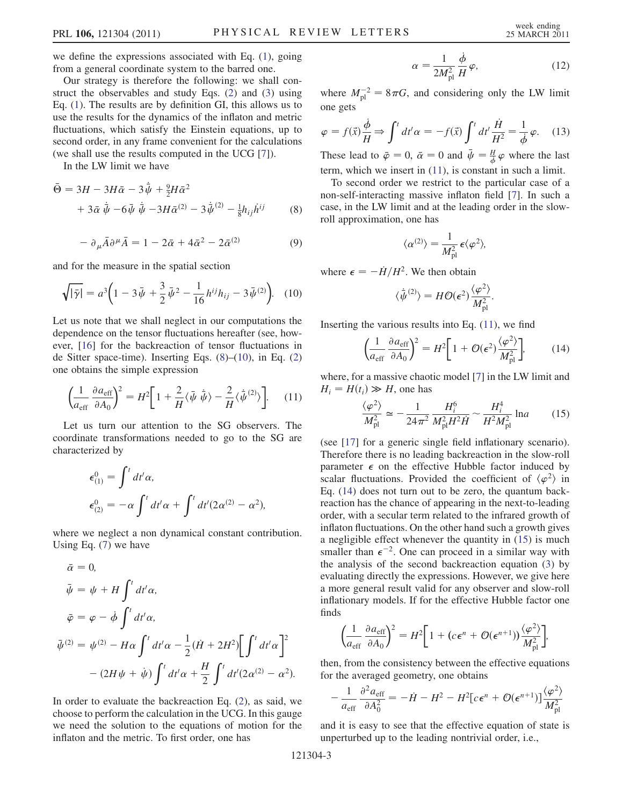we define the expressions associated with Eq. (1), going from a general coordinate system to the barred one.

Our strategy is therefore the following: we shall construct the observables and study Eqs. (2) and (3) using Eq. (1). The results are by definition GI, this allows us to use the results for the dynamics of the inflaton and metric fluctuations, which satisfy the Einstein equations, up to second order, in any frame convenient for the calculations (we shall use the results computed in the UCG [7]).

In the LW limit we have

$$
\bar{\Theta} = 3H - 3H\bar{\alpha} - 3\dot{\bar{\psi}} + \frac{9}{2}H\bar{\alpha}^{2} + 3\bar{\alpha}\dot{\bar{\psi}} - 6\bar{\psi}\dot{\bar{\psi}} - 3H\bar{\alpha}^{(2)} - 3\dot{\bar{\psi}}^{(2)} - \frac{1}{8}h_{ij}\dot{h}^{ij}
$$
(8)

$$
- \partial_{\mu} \bar{A} \partial^{\mu} \bar{A} = 1 - 2\bar{\alpha} + 4\bar{\alpha}^{2} - 2\bar{\alpha}^{(2)} \tag{9}
$$

and for the measure in the spatial section

$$
\sqrt{|\bar{\gamma}|} = a^3 \left( 1 - 3\bar{\psi} + \frac{3}{2} \bar{\psi}^2 - \frac{1}{16} h^{ij} h_{ij} - 3\bar{\psi}^{(2)} \right). \tag{10}
$$

Let us note that we shall neglect in our computations the dependence on the tensor fluctuations hereafter (see, however, [16] for the backreaction of tensor fluctuations in de Sitter space-time). Inserting Eqs. (8)–(10), in Eq. (2) one obtains the simple expression

$$
\left(\frac{1}{a_{\rm eff}}\frac{\partial a_{\rm eff}}{\partial A_0}\right)^2 = H^2 \left[1 + \frac{2}{H}\langle\bar{\psi}\,\dot{\bar{\psi}}\rangle - \frac{2}{H}\langle\dot{\bar{\psi}}^{(2)}\rangle\right].\tag{11}
$$

Let us turn our attention to the SG observers. The coordinate transformations needed to go to the SG are characterized by

$$
\epsilon_{(1)}^0 = \int^t dt' \alpha,
$$
  
\n
$$
\epsilon_{(2)}^0 = -\alpha \int^t dt' \alpha + \int^t dt' (2\alpha^{(2)} - \alpha^2),
$$

where we neglect a non dynamical constant contribution. Using Eq. (7) we have

$$
\bar{\alpha} = 0,
$$
\n
$$
\bar{\psi} = \psi + H \int^t dt' \alpha,
$$
\n
$$
\bar{\varphi} = \varphi - \dot{\phi} \int^t dt' \alpha,
$$
\n
$$
\bar{\psi}^{(2)} = \psi^{(2)} - H\alpha \int^t dt' \alpha - \frac{1}{2} (\dot{H} + 2H^2) \Big[ \int^t dt' \alpha \Big]^2 - (2H\psi + \dot{\psi}) \int^t dt' \alpha + \frac{H}{2} \int^t dt' (2\alpha^{(2)} - \alpha^2).
$$

In order to evaluate the backreaction Eq. (2), as said, we choose to perform the calculation in the UCG. In this gauge we need the solution to the equations of motion for the inflaton and the metric. To first order, one has

$$
\alpha = \frac{1}{2M_{\text{pl}}^2} \frac{\dot{\phi}}{H} \varphi,\tag{12}
$$

where  $M_{\rm pl}^{-2} = 8\pi G$ , and considering only the LW limit one gets

$$
\varphi = f(\vec{x}) \frac{\dot{\phi}}{H} \Rightarrow \int^t dt' \alpha = -f(\vec{x}) \int^t dt' \frac{\dot{H}}{H^2} = \frac{1}{\dot{\phi}} \varphi. \quad (13)
$$

These lead to  $\bar{\varphi} = 0$ ,  $\bar{\alpha} = 0$  and  $\bar{\psi} = \frac{H}{\phi} \varphi$  where the last term, which we insert in (11), is constant in such a limit.

To second order we restrict to the particular case of a non-self-interacting massive inflaton field [7]. In such a case, in the LW limit and at the leading order in the slowroll approximation, one has

$$
\langle \alpha^{(2)} \rangle = \frac{1}{M_{\rm pl}^2} \,\epsilon \langle \varphi^2 \rangle,
$$

where  $\epsilon = -\dot{H}/H^2$ . We then obtain

$$
\langle \dot{\bar{\psi}}^{(2)} \rangle = H \mathcal{O}(\epsilon^2) \frac{\langle \varphi^2 \rangle}{M_{\rm pl}^2}.
$$

Inserting the various results into Eq.  $(11)$ , we find

$$
\left(\frac{1}{a_{\rm eff}}\frac{\partial a_{\rm eff}}{\partial A_0}\right)^2 = H^2 \left[1 + \mathcal{O}(\epsilon^2) \frac{\langle \varphi^2 \rangle}{M_{\rm pl}^2}\right],\tag{14}
$$

where, for a massive chaotic model [7] in the LW limit and  $H_i = H(t_i) \gg H$ , one has

$$
\frac{\langle \varphi^2 \rangle}{M_{\rm pl}^2} \simeq -\frac{1}{24\pi^2} \frac{H_i^6}{M_{\rm pl}^2 H^2 \dot{H}} \sim \frac{H_i^4}{H^2 M_{\rm pl}^2} \ln a \tag{15}
$$

(see [17] for a generic single field inflationary scenario). Therefore there is no leading backreaction in the slow-roll parameter  $\epsilon$  on the effective Hubble factor induced by scalar fluctuations. Provided the coefficient of  $\langle \varphi^2 \rangle$  in Eq. (14) does not turn out to be zero, the quantum backreaction has the chance of appearing in the next-to-leading order, with a secular term related to the infrared growth of inflaton fluctuations. On the other hand such a growth gives a negligible effect whenever the quantity in (15) is much smaller than  $\epsilon^{-2}$ . One can proceed in a similar way with the analysis of the second backreaction equation (3) by evaluating directly the expressions. However, we give here a more general result valid for any observer and slow-roll inflationary models. If for the effective Hubble factor one finds

$$
\left(\frac{1}{a_{\rm eff}}\frac{\partial a_{\rm eff}}{\partial A_0}\right)^2 = H^2 \left[1 + (c\epsilon^n + \mathcal{O}(\epsilon^{n+1}))\frac{\langle\varphi^2\rangle}{M_{\rm pl}^2}\right],
$$

then, from the consistency between the effective equations for the averaged geometry, one obtains

$$
-\frac{1}{a_{\text{eff}}}\frac{\partial^2 a_{\text{eff}}}{\partial A_0^2} = -\dot{H} - H^2 - H^2[c\epsilon^n + \mathcal{O}(\epsilon^{n+1})]\frac{\langle \varphi^2 \rangle}{M_{\text{pl}}^2}
$$

and it is easy to see that the effective equation of state is unperturbed up to the leading nontrivial order, i.e.,